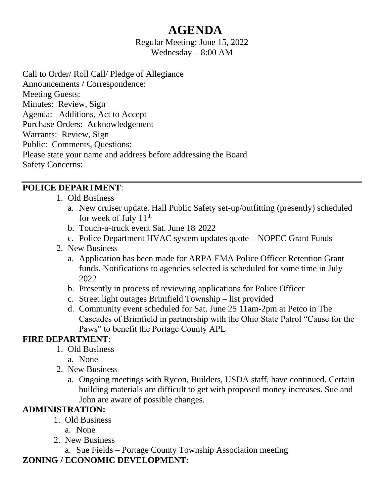# **AGENDA**

Regular Meeting: June 15, 2022 Wednesday – 8:00 AM

Call to Order/ Roll Call/ Pledge of Allegiance Announcements / Correspondence: Meeting Guests: Minutes: Review, Sign Agenda: Additions, Act to Accept Purchase Orders: Acknowledgement Warrants: Review, Sign Public: Comments, Questions: Please state your name and address before addressing the Board Safety Concerns:

#### **POLICE DEPARTMENT**:

- 1. Old Business
	- a. New cruiser update. Hall Public Safety set-up/outfitting (presently) scheduled for week of July  $11^{th}$
	- b. Touch-a-truck event Sat. June 18, 2022
	- c. Police Department HVAC system updates quote NOPEC Grant Funds
- 2. New Business
	- a. Application has been made for ARPA EMA Police Officer Retention Grant funds. Notifications to agencies selected is scheduled for some time in July 2022
	- b. Presently in process of reviewing applications for Police Officer
	- c. Street light outages Brimfield Township list provided
	- d. Community event scheduled for Sat. June 25 11am-2pm at Petco in The Cascades of Brimfield in partnership with the Ohio State Patrol "Cause for the Paws" to benefit the Portage County APL

#### **FIRE DEPARTMENT**:

- 1. Old Business
	- a. None
- 2. New Business
	- a. Ongoing meetings with Rycon, Builders, USDA staff, have continued. Certain building materials are difficult to get with proposed money increases. Sue and John are aware of possible changes.

#### **ADMINISTRATION:**

- 1. Old Business
	- a. None
- 2. New Business
	- a. Sue Fields Portage County Township Association meeting

#### **ZONING / ECONOMIC DEVELOPMENT:**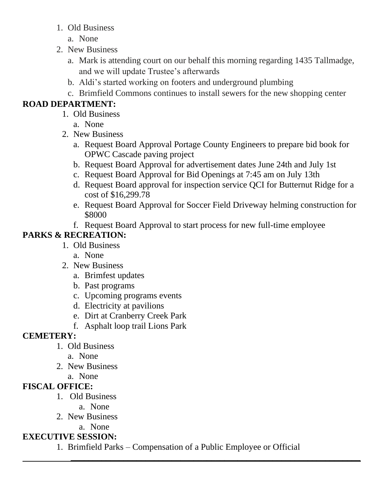- 1. Old Business
	- a. None
- 2. New Business
	- a. Mark is attending court on our behalf this morning regarding 1435 Tallmadge, and we will update Trustee's afterwards
	- b. Aldi's started working on footers and underground plumbing
	- c. Brimfield Commons continues to install sewers for the new shopping center

# **ROAD DEPARTMENT:**

- 1. Old Business
	- a. None
- 2. New Business
	- a. Request Board Approval Portage County Engineers to prepare bid book for OPWC Cascade paving project
	- b. Request Board Approval for advertisement dates June 24th and July 1st
	- c. Request Board Approval for Bid Openings at 7:45 am on July 13th
	- d. Request Board approval for inspection service QCI for Butternut Ridge for a cost of \$16,299.78
	- e. Request Board Approval for Soccer Field Driveway helming construction for \$8000
	- f. Request Board Approval to start process for new full-time employee

# **PARKS & RECREATION:**

- 1. Old Business
	- a. None
- 2. New Business
	- a. Brimfest updates
	- b. Past programs
	- c. Upcoming programs events
	- d. Electricity at pavilions
	- e. Dirt at Cranberry Creek Park
	- f. Asphalt loop trail Lions Park

# **CEMETERY:**

- 1. Old Business
	- a. None
- 2. New Business
	- a. None

# **FISCAL OFFICE:**

- 1. Old Business
	- a. None
- 2. New Business
	- a. None

# **EXECUTIVE SESSION:**

1. Brimfield Parks – Compensation of a Public Employee or Official

 **\_\_\_\_\_\_\_\_\_\_\_\_\_\_\_\_\_\_\_\_\_\_\_\_\_\_\_\_\_\_\_\_\_\_\_\_\_\_\_\_\_\_\_\_\_\_\_\_\_\_\_\_\_\_\_\_\_\_\_\_\_\_\_\_\_\_**